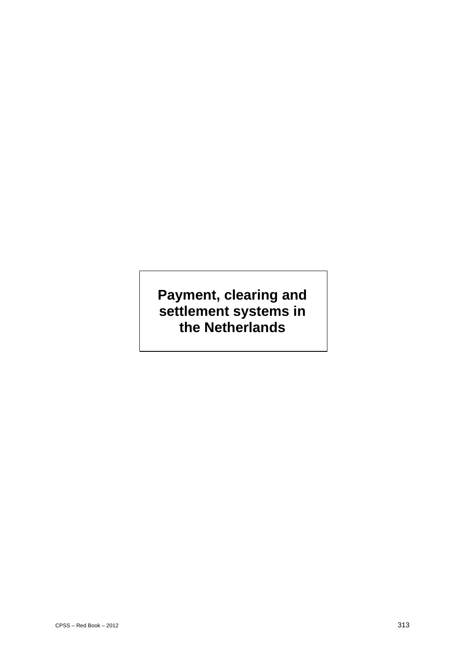# **Payment, clearing and settlement systems in the Netherlands**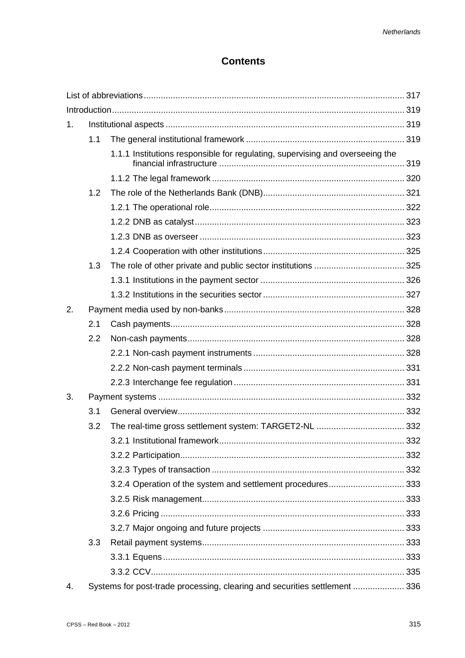# **Contents**

| 1. |     |                                                                               |  |
|----|-----|-------------------------------------------------------------------------------|--|
|    | 1.1 |                                                                               |  |
|    |     | 1.1.1 Institutions responsible for regulating, supervising and overseeing the |  |
|    |     |                                                                               |  |
|    | 1.2 |                                                                               |  |
|    |     |                                                                               |  |
|    |     |                                                                               |  |
|    |     |                                                                               |  |
|    |     |                                                                               |  |
|    | 1.3 |                                                                               |  |
|    |     |                                                                               |  |
|    |     |                                                                               |  |
| 2. |     |                                                                               |  |
|    | 2.1 |                                                                               |  |
|    | 2.2 |                                                                               |  |
|    |     |                                                                               |  |
|    |     |                                                                               |  |
|    |     |                                                                               |  |
| 3. |     |                                                                               |  |
|    | 3.1 |                                                                               |  |
|    | 3.2 |                                                                               |  |
|    |     |                                                                               |  |
|    |     |                                                                               |  |
|    |     |                                                                               |  |
|    |     | 3.2.4 Operation of the system and settlement procedures 333                   |  |
|    |     |                                                                               |  |
|    |     |                                                                               |  |
|    |     |                                                                               |  |
|    | 3.3 |                                                                               |  |
|    |     |                                                                               |  |
|    |     |                                                                               |  |
| 4. |     | Systems for post-trade processing, clearing and securities settlement  336    |  |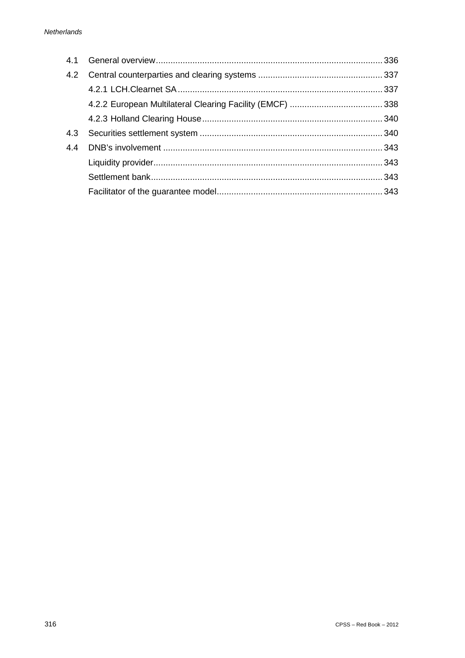| 4.1 |  |
|-----|--|
| 4.2 |  |
|     |  |
|     |  |
|     |  |
| 4.3 |  |
| 44  |  |
|     |  |
|     |  |
|     |  |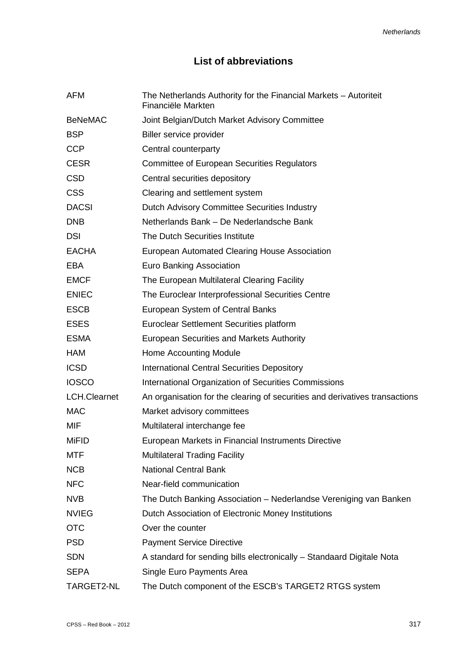# **List of abbreviations**

| AFM                 | The Netherlands Authority for the Financial Markets - Autoriteit<br>Financiële Markten |
|---------------------|----------------------------------------------------------------------------------------|
| <b>BeNeMAC</b>      | Joint Belgian/Dutch Market Advisory Committee                                          |
| <b>BSP</b>          | Biller service provider                                                                |
| <b>CCP</b>          | Central counterparty                                                                   |
| <b>CESR</b>         | <b>Committee of European Securities Regulators</b>                                     |
| <b>CSD</b>          | Central securities depository                                                          |
| <b>CSS</b>          | Clearing and settlement system                                                         |
| <b>DACSI</b>        | Dutch Advisory Committee Securities Industry                                           |
| <b>DNB</b>          | Netherlands Bank - De Nederlandsche Bank                                               |
| <b>DSI</b>          | The Dutch Securities Institute                                                         |
| <b>EACHA</b>        | European Automated Clearing House Association                                          |
| <b>EBA</b>          | <b>Euro Banking Association</b>                                                        |
| <b>EMCF</b>         | The European Multilateral Clearing Facility                                            |
| <b>ENIEC</b>        | The Euroclear Interprofessional Securities Centre                                      |
| <b>ESCB</b>         | European System of Central Banks                                                       |
| <b>ESES</b>         | Euroclear Settlement Securities platform                                               |
| <b>ESMA</b>         | <b>European Securities and Markets Authority</b>                                       |
| <b>HAM</b>          | Home Accounting Module                                                                 |
| <b>ICSD</b>         | <b>International Central Securities Depository</b>                                     |
| <b>IOSCO</b>        | International Organization of Securities Commissions                                   |
| <b>LCH.Clearnet</b> | An organisation for the clearing of securities and derivatives transactions            |
| <b>MAC</b>          | Market advisory committees                                                             |
| <b>MIF</b>          | Multilateral interchange fee                                                           |
| <b>MiFID</b>        | European Markets in Financial Instruments Directive                                    |
| <b>MTF</b>          | <b>Multilateral Trading Facility</b>                                                   |
| <b>NCB</b>          | <b>National Central Bank</b>                                                           |
| <b>NFC</b>          | Near-field communication                                                               |
| <b>NVB</b>          | The Dutch Banking Association - Nederlandse Vereniging van Banken                      |
| <b>NVIEG</b>        | Dutch Association of Electronic Money Institutions                                     |
| <b>OTC</b>          | Over the counter                                                                       |
| <b>PSD</b>          | <b>Payment Service Directive</b>                                                       |
| <b>SDN</b>          | A standard for sending bills electronically - Standaard Digitale Nota                  |
| <b>SEPA</b>         | Single Euro Payments Area                                                              |
| TARGET2-NL          | The Dutch component of the ESCB's TARGET2 RTGS system                                  |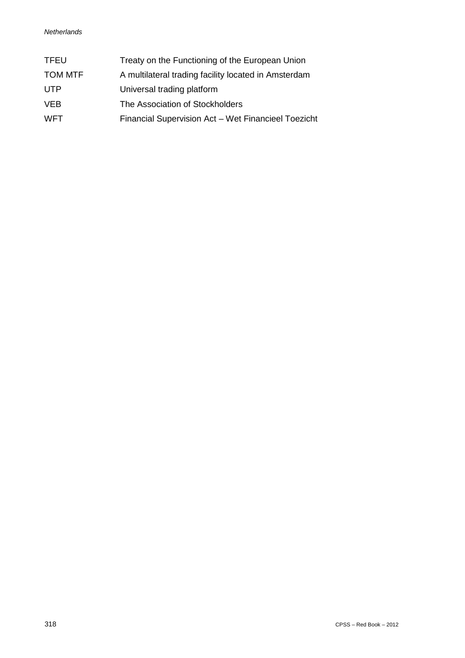| <b>TFEU</b>    | Treaty on the Functioning of the European Union      |
|----------------|------------------------------------------------------|
| <b>TOM MTF</b> | A multilateral trading facility located in Amsterdam |
| UTP            | Universal trading platform                           |
| <b>VEB</b>     | The Association of Stockholders                      |
| <b>WFT</b>     | Financial Supervision Act - Wet Financieel Toezicht  |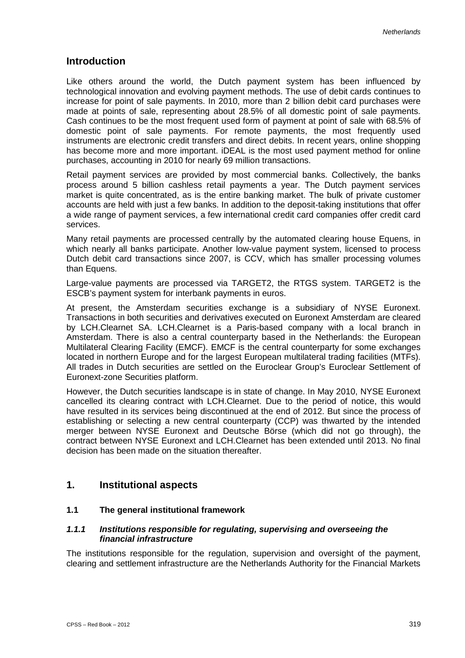# **Introduction**

Like others around the world, the Dutch payment system has been influenced by technological innovation and evolving payment methods. The use of debit cards continues to increase for point of sale payments. In 2010, more than 2 billion debit card purchases were made at points of sale, representing about 28.5% of all domestic point of sale payments. Cash continues to be the most frequent used form of payment at point of sale with 68.5% of domestic point of sale payments. For remote payments, the most frequently used instruments are electronic credit transfers and direct debits. In recent years, online shopping has become more and more important. iDEAL is the most used payment method for online purchases, accounting in 2010 for nearly 69 million transactions.

Retail payment services are provided by most commercial banks. Collectively, the banks process around 5 billion cashless retail payments a year. The Dutch payment services market is quite concentrated, as is the entire banking market. The bulk of private customer accounts are held with just a few banks. In addition to the deposit-taking institutions that offer a wide range of payment services, a few international credit card companies offer credit card services.

Many retail payments are processed centrally by the automated clearing house Equens, in which nearly all banks participate. Another low-value payment system, licensed to process Dutch debit card transactions since 2007, is CCV, which has smaller processing volumes than Equens.

Large-value payments are processed via TARGET2, the RTGS system. TARGET2 is the ESCB's payment system for interbank payments in euros.

At present, the Amsterdam securities exchange is a subsidiary of NYSE Euronext. Transactions in both securities and derivatives executed on Euronext Amsterdam are cleared by LCH.Clearnet SA. LCH.Clearnet is a Paris-based company with a local branch in Amsterdam. There is also a central counterparty based in the Netherlands: the European Multilateral Clearing Facility (EMCF). EMCF is the central counterparty for some exchanges located in northern Europe and for the largest European multilateral trading facilities (MTFs). All trades in Dutch securities are settled on the Euroclear Group's Euroclear Settlement of Euronext-zone Securities platform.

However, the Dutch securities landscape is in state of change. In May 2010, NYSE Euronext cancelled its clearing contract with LCH.Clearnet. Due to the period of notice, this would have resulted in its services being discontinued at the end of 2012. But since the process of establishing or selecting a new central counterparty (CCP) was thwarted by the intended merger between NYSE Euronext and Deutsche Börse (which did not go through), the contract between NYSE Euronext and LCH.Clearnet has been extended until 2013. No final decision has been made on the situation thereafter.

# **1. Institutional aspects**

# **1.1 The general institutional framework**

## *1.1.1 Institutions responsible for regulating, supervising and overseeing the financial infrastructure*

The institutions responsible for the regulation, supervision and oversight of the payment, clearing and settlement infrastructure are the Netherlands Authority for the Financial Markets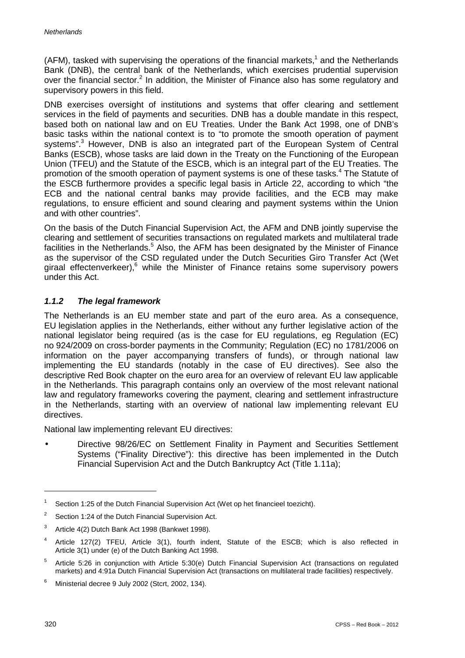(AFM), tasked with supervising the operations of the financial markets, <sup>1</sup> and the Netherlands Bank (DNB), the central bank of the Netherlands, which exercises prudential supervision over the financial sector. $<sup>2</sup>$  In addition, the Minister of Finance also has some regulatory and</sup> supervisory powers in this field.

DNB exercises oversight of institutions and systems that offer clearing and settlement services in the field of payments and securities. DNB has a double mandate in this respect, based both on national law and on EU Treaties. Under the Bank Act 1998, one of DNB's basic tasks within the national context is to "to promote the smooth operation of payment systems".<sup>3</sup> However, DNB is also an integrated part of the European System of Central Banks (ESCB), whose tasks are laid down in the Treaty on the Functioning of the European Union (TFEU) and the Statute of the ESCB, which is an integral part of the EU Treaties. The promotion of the smooth operation of payment systems is one of these tasks.<sup>4</sup> The Statute of the ESCB furthermore provides a specific legal basis in Article 22, according to which "the ECB and the national central banks may provide facilities, and the ECB may make regulations, to ensure efficient and sound clearing and payment systems within the Union and with other countries".

On the basis of the Dutch Financial Supervision Act, the AFM and DNB jointly supervise the clearing and settlement of securities transactions on regulated markets and multilateral trade facilities in the Netherlands.<sup>5</sup> Also, the AFM has been designated by the Minister of Finance as the supervisor of the CSD regulated under the Dutch Securities Giro Transfer Act (Wet giraal effectenverkeer),<sup>6</sup> while the Minister of Finance retains some supervisory powers under this Act.

# *1.1.2 The legal framework*

The Netherlands is an EU member state and part of the euro area. As a consequence, EU legislation applies in the Netherlands, either without any further legislative action of the national legislator being required (as is the case for EU regulations, eg Regulation (EC) no 924/2009 on cross-border payments in the Community; Regulation (EC) no 1781/2006 on information on the payer accompanying transfers of funds), or through national law implementing the EU standards (notably in the case of EU directives). See also the descriptive Red Book chapter on the euro area for an overview of relevant EU law applicable in the Netherlands. This paragraph contains only an overview of the most relevant national law and regulatory frameworks covering the payment, clearing and settlement infrastructure in the Netherlands, starting with an overview of national law implementing relevant EU directives.

National law implementing relevant EU directives:

Directive 98/26/EC on Settlement Finality in Payment and Securities Settlement Systems ("Finality Directive"): this directive has been implemented in the Dutch Financial Supervision Act and the Dutch Bankruptcy Act (Title 1.11a);

-

<sup>&</sup>lt;sup>1</sup> Section 1:25 of the Dutch Financial Supervision Act (Wet op het financieel toezicht).

<sup>&</sup>lt;sup>2</sup> Section 1:24 of the Dutch Financial Supervision Act.

<sup>3</sup> Article 4(2) Dutch Bank Act 1998 (Bankwet 1998).

<sup>4</sup> Article 127(2) TFEU, Article 3(1), fourth indent, Statute of the ESCB; which is also reflected in Article 3(1) under (e) of the Dutch Banking Act 1998.

<sup>5</sup> Article 5:26 in conjunction with Article 5:30(e) Dutch Financial Supervision Act (transactions on regulated markets) and 4:91a Dutch Financial Supervision Act (transactions on multilateral trade facilities) respectively.

Ministerial decree 9 July 2002 (Stcrt, 2002, 134).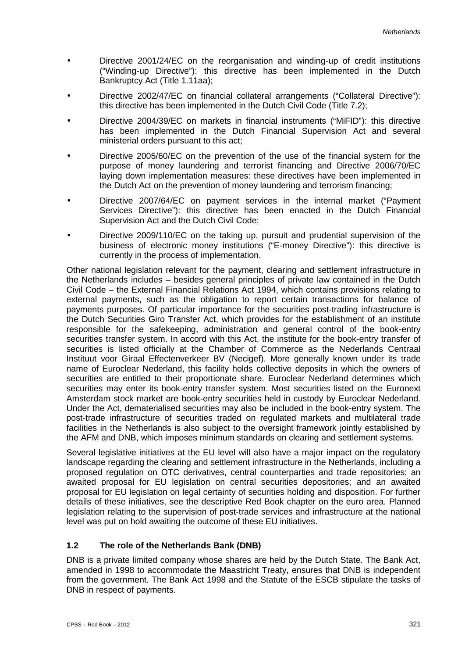- Directive 2001/24/EC on the reorganisation and winding-up of credit institutions ("Winding-up Directive"): this directive has been implemented in the Dutch Bankruptcy Act (Title 1.11aa);
- Directive 2002/47/EC on financial collateral arrangements ("Collateral Directive"): this directive has been implemented in the Dutch Civil Code (Title 7.2);
- Directive 2004/39/EC on markets in financial instruments ("MiFID"): this directive has been implemented in the Dutch Financial Supervision Act and several ministerial orders pursuant to this act;
- Directive 2005/60/EC on the prevention of the use of the financial system for the purpose of money laundering and terrorist financing and Directive 2006/70/EC laying down implementation measures: these directives have been implemented in the Dutch Act on the prevention of money laundering and terrorism financing;
- Directive 2007/64/EC on payment services in the internal market ("Payment Services Directive"): this directive has been enacted in the Dutch Financial Supervision Act and the Dutch Civil Code;
- Directive 2009/110/EC on the taking up, pursuit and prudential supervision of the business of electronic money institutions ("E-money Directive"): this directive is currently in the process of implementation.

Other national legislation relevant for the payment, clearing and settlement infrastructure in the Netherlands includes – besides general principles of private law contained in the Dutch Civil Code – the External Financial Relations Act 1994, which contains provisions relating to external payments, such as the obligation to report certain transactions for balance of payments purposes. Of particular importance for the securities post-trading infrastructure is the Dutch Securities Giro Transfer Act, which provides for the establishment of an institute responsible for the safekeeping, administration and general control of the book-entry securities transfer system. In accord with this Act, the institute for the book-entry transfer of securities is listed officially at the Chamber of Commerce as the Nederlands Centraal Instituut voor Giraal Effectenverkeer BV (Necigef). More generally known under its trade name of Euroclear Nederland, this facility holds collective deposits in which the owners of securities are entitled to their proportionate share. Euroclear Nederland determines which securities may enter its book-entry transfer system. Most securities listed on the Euronext Amsterdam stock market are book-entry securities held in custody by Euroclear Nederland. Under the Act, dematerialised securities may also be included in the book-entry system. The post-trade infrastructure of securities traded on regulated markets and multilateral trade facilities in the Netherlands is also subject to the oversight framework jointly established by the AFM and DNB, which imposes minimum standards on clearing and settlement systems.

Several legislative initiatives at the EU level will also have a major impact on the regulatory landscape regarding the clearing and settlement infrastructure in the Netherlands, including a proposed regulation on OTC derivatives, central counterparties and trade repositories; an awaited proposal for EU legislation on central securities depositories; and an awaited proposal for EU legislation on legal certainty of securities holding and disposition. For further details of these initiatives, see the descriptive Red Book chapter on the euro area. Planned legislation relating to the supervision of post-trade services and infrastructure at the national level was put on hold awaiting the outcome of these EU initiatives.

# **1.2 The role of the Netherlands Bank (DNB)**

DNB is a private limited company whose shares are held by the Dutch State. The Bank Act, amended in 1998 to accommodate the Maastricht Treaty, ensures that DNB is independent from the government. The Bank Act 1998 and the Statute of the ESCB stipulate the tasks of DNB in respect of payments.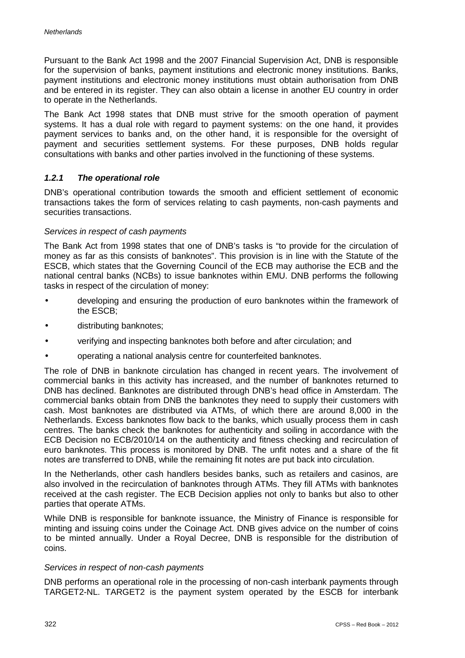Pursuant to the Bank Act 1998 and the 2007 Financial Supervision Act, DNB is responsible for the supervision of banks, payment institutions and electronic money institutions. Banks, payment institutions and electronic money institutions must obtain authorisation from DNB and be entered in its register. They can also obtain a license in another EU country in order to operate in the Netherlands.

The Bank Act 1998 states that DNB must strive for the smooth operation of payment systems. It has a dual role with regard to payment systems: on the one hand, it provides payment services to banks and, on the other hand, it is responsible for the oversight of payment and securities settlement systems. For these purposes, DNB holds regular consultations with banks and other parties involved in the functioning of these systems.

## *1.2.1 The operational role*

DNB's operational contribution towards the smooth and efficient settlement of economic transactions takes the form of services relating to cash payments, non-cash payments and securities transactions.

## *Services in respect of cash payments*

The Bank Act from 1998 states that one of DNB's tasks is "to provide for the circulation of money as far as this consists of banknotes". This provision is in line with the Statute of the ESCB, which states that the Governing Council of the ECB may authorise the ECB and the national central banks (NCBs) to issue banknotes within EMU. DNB performs the following tasks in respect of the circulation of money:

- developing and ensuring the production of euro banknotes within the framework of the ESCB;
- distributing banknotes;
- verifying and inspecting banknotes both before and after circulation; and
- operating a national analysis centre for counterfeited banknotes.

The role of DNB in banknote circulation has changed in recent years. The involvement of commercial banks in this activity has increased, and the number of banknotes returned to DNB has declined. Banknotes are distributed through DNB's head office in Amsterdam. The commercial banks obtain from DNB the banknotes they need to supply their customers with cash. Most banknotes are distributed via ATMs, of which there are around 8,000 in the Netherlands. Excess banknotes flow back to the banks, which usually process them in cash centres. The banks check the banknotes for authenticity and soiling in accordance with the ECB Decision no ECB/2010/14 on the authenticity and fitness checking and recirculation of euro banknotes. This process is monitored by DNB. The unfit notes and a share of the fit notes are transferred to DNB, while the remaining fit notes are put back into circulation.

In the Netherlands, other cash handlers besides banks, such as retailers and casinos, are also involved in the recirculation of banknotes through ATMs. They fill ATMs with banknotes received at the cash register. The ECB Decision applies not only to banks but also to other parties that operate ATMs.

While DNB is responsible for banknote issuance, the Ministry of Finance is responsible for minting and issuing coins under the Coinage Act. DNB gives advice on the number of coins to be minted annually. Under a Royal Decree, DNB is responsible for the distribution of coins.

### *Services in respect of non-cash payments*

DNB performs an operational role in the processing of non-cash interbank payments through TARGET2-NL. TARGET2 is the payment system operated by the ESCB for interbank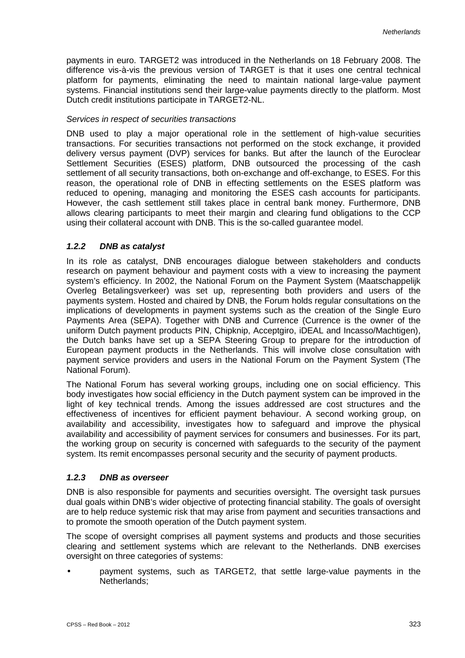payments in euro. TARGET2 was introduced in the Netherlands on 18 February 2008. The difference vis-à-vis the previous version of TARGET is that it uses one central technical platform for payments, eliminating the need to maintain national large-value payment systems. Financial institutions send their large-value payments directly to the platform. Most Dutch credit institutions participate in TARGET2-NL.

## *Services in respect of securities transactions*

DNB used to play a major operational role in the settlement of high-value securities transactions. For securities transactions not performed on the stock exchange, it provided delivery versus payment (DVP) services for banks. But after the launch of the Euroclear Settlement Securities (ESES) platform, DNB outsourced the processing of the cash settlement of all security transactions, both on-exchange and off-exchange, to ESES. For this reason, the operational role of DNB in effecting settlements on the ESES platform was reduced to opening, managing and monitoring the ESES cash accounts for participants. However, the cash settlement still takes place in central bank money. Furthermore, DNB allows clearing participants to meet their margin and clearing fund obligations to the CCP using their collateral account with DNB. This is the so-called guarantee model.

## *1.2.2 DNB as catalyst*

In its role as catalyst, DNB encourages dialogue between stakeholders and conducts research on payment behaviour and payment costs with a view to increasing the payment system's efficiency. In 2002, the National Forum on the Payment System (Maatschappelijk Overleg Betalingsverkeer) was set up, representing both providers and users of the payments system. Hosted and chaired by DNB, the Forum holds regular consultations on the implications of developments in payment systems such as the creation of the Single Euro Payments Area (SEPA). Together with DNB and Currence (Currence is the owner of the uniform Dutch payment products PIN, Chipknip, Acceptgiro, iDEAL and Incasso/Machtigen), the Dutch banks have set up a SEPA Steering Group to prepare for the introduction of European payment products in the Netherlands. This will involve close consultation with payment service providers and users in the National Forum on the Payment System (The National Forum).

The National Forum has several working groups, including one on social efficiency. This body investigates how social efficiency in the Dutch payment system can be improved in the light of key technical trends. Among the issues addressed are cost structures and the effectiveness of incentives for efficient payment behaviour. A second working group, on availability and accessibility, investigates how to safeguard and improve the physical availability and accessibility of payment services for consumers and businesses. For its part, the working group on security is concerned with safeguards to the security of the payment system. Its remit encompasses personal security and the security of payment products.

# *1.2.3 DNB as overseer*

DNB is also responsible for payments and securities oversight. The oversight task pursues dual goals within DNB's wider objective of protecting financial stability. The goals of oversight are to help reduce systemic risk that may arise from payment and securities transactions and to promote the smooth operation of the Dutch payment system.

The scope of oversight comprises all payment systems and products and those securities clearing and settlement systems which are relevant to the Netherlands. DNB exercises oversight on three categories of systems:

payment systems, such as TARGET2, that settle large-value payments in the Netherlands;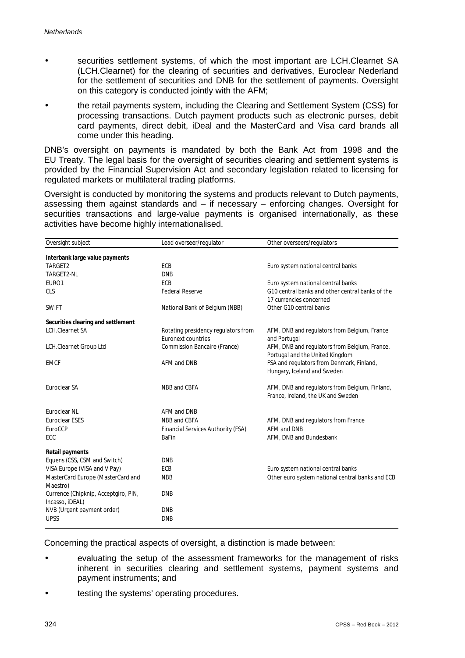- securities settlement systems, of which the most important are LCH.Clearnet SA (LCH.Clearnet) for the clearing of securities and derivatives, Euroclear Nederland for the settlement of securities and DNB for the settlement of payments. Oversight on this category is conducted jointly with the AFM;
- the retail payments system, including the Clearing and Settlement System (CSS) for processing transactions. Dutch payment products such as electronic purses, debit card payments, direct debit, iDeal and the MasterCard and Visa card brands all come under this heading.

DNB's oversight on payments is mandated by both the Bank Act from 1998 and the EU Treaty. The legal basis for the oversight of securities clearing and settlement systems is provided by the Financial Supervision Act and secondary legislation related to licensing for regulated markets or multilateral trading platforms.

Oversight is conducted by monitoring the systems and products relevant to Dutch payments, assessing them against standards and  $-$  if necessary  $-$  enforcing changes. Oversight for securities transactions and large-value payments is organised internationally, as these activities have become highly internationalised.

| Oversight subject                                       | Lead overseer/regulator                                   | Other overseers/regulators                                                           |
|---------------------------------------------------------|-----------------------------------------------------------|--------------------------------------------------------------------------------------|
| Interbank large value payments                          |                                                           |                                                                                      |
| TARGET2                                                 | ECB                                                       | Euro system national central banks                                                   |
| TARGET2-NL                                              | <b>DNB</b>                                                |                                                                                      |
| EURO1                                                   | ECB                                                       | Euro system national central banks                                                   |
| <b>CLS</b>                                              | <b>Federal Reserve</b>                                    | G10 central banks and other central banks of the<br>17 currencies concerned          |
| <b>SWIFT</b>                                            | National Bank of Belgium (NBB)                            | Other G10 central banks                                                              |
| Securities clearing and settlement                      |                                                           |                                                                                      |
| <b>LCH.Clearnet SA</b>                                  | Rotating presidency regulators from<br>Euronext countries | AFM, DNB and regulators from Belgium, France<br>and Portugal                         |
| LCH.Clearnet Group Ltd                                  | Commission Bancaire (France)                              | AFM, DNB and regulators from Belgium, France,<br>Portugal and the United Kingdom     |
| <b>EMCF</b>                                             | AFM and DNB                                               | FSA and regulators from Denmark, Finland,<br>Hungary, Iceland and Sweden             |
| Euroclear SA                                            | NBB and CBFA                                              | AFM, DNB and regulators from Belgium, Finland,<br>France, Ireland, the UK and Sweden |
| <b>Euroclear NL</b>                                     | AFM and DNB                                               |                                                                                      |
| <b>Euroclear ESES</b>                                   | NBB and CBFA                                              | AFM, DNB and regulators from France                                                  |
| EuroCCP                                                 | Financial Services Authority (FSA)                        | AFM and DNB                                                                          |
| ECC                                                     | <b>BaFin</b>                                              | AFM, DNB and Bundesbank                                                              |
| Retail payments                                         |                                                           |                                                                                      |
| Equens (CSS, CSM and Switch)                            | <b>DNB</b>                                                |                                                                                      |
| VISA Europe (VISA and V Pay)                            | ECB                                                       | Euro system national central banks                                                   |
| MasterCard Europe (MasterCard and<br>Maestro)           | <b>NBB</b>                                                | Other euro system national central banks and ECB                                     |
| Currence (Chipknip, Acceptgiro, PIN,<br>Incasso, iDEAL) | <b>DNB</b>                                                |                                                                                      |
| NVB (Urgent payment order)                              | <b>DNB</b>                                                |                                                                                      |
| <b>UPSS</b>                                             | <b>DNB</b>                                                |                                                                                      |
|                                                         |                                                           |                                                                                      |

Concerning the practical aspects of oversight, a distinction is made between:

- evaluating the setup of the assessment frameworks for the management of risks inherent in securities clearing and settlement systems, payment systems and payment instruments; and
- testing the systems' operating procedures.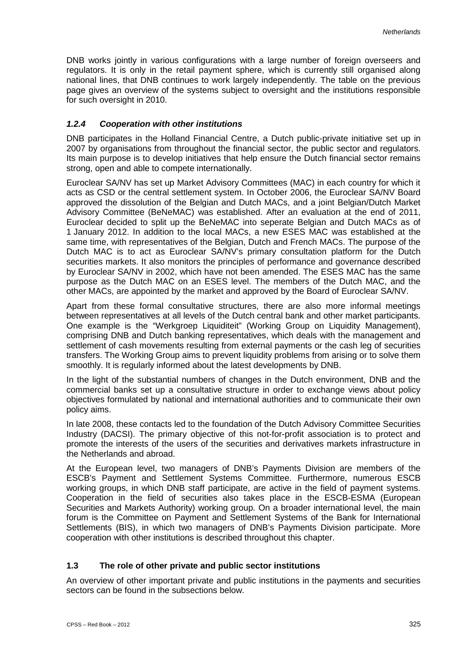DNB works jointly in various configurations with a large number of foreign overseers and regulators. It is only in the retail payment sphere, which is currently still organised along national lines, that DNB continues to work largely independently. The table on the previous page gives an overview of the systems subject to oversight and the institutions responsible for such oversight in 2010.

## *1.2.4 Cooperation with other institutions*

DNB participates in the Holland Financial Centre, a Dutch public-private initiative set up in 2007 by organisations from throughout the financial sector, the public sector and regulators. Its main purpose is to develop initiatives that help ensure the Dutch financial sector remains strong, open and able to compete internationally.

Euroclear SA/NV has set up Market Advisory Committees (MAC) in each country for which it acts as CSD or the central settlement system. In October 2006, the Euroclear SA/NV Board approved the dissolution of the Belgian and Dutch MACs, and a joint Belgian/Dutch Market Advisory Committee (BeNeMAC) was established. After an evaluation at the end of 2011, Euroclear decided to split up the BeNeMAC into seperate Belgian and Dutch MACs as of 1 January 2012. In addition to the local MACs, a new ESES MAC was established at the same time, with representatives of the Belgian, Dutch and French MACs. The purpose of the Dutch MAC is to act as Euroclear SA/NV's primary consultation platform for the Dutch securities markets. It also monitors the principles of performance and governance described by Euroclear SA/NV in 2002, which have not been amended. The ESES MAC has the same purpose as the Dutch MAC on an ESES level. The members of the Dutch MAC, and the other MACs, are appointed by the market and approved by the Board of Euroclear SA/NV.

Apart from these formal consultative structures, there are also more informal meetings between representatives at all levels of the Dutch central bank and other market participants. One example is the "Werkgroep Liquiditeit" (Working Group on Liquidity Management), comprising DNB and Dutch banking representatives, which deals with the management and settlement of cash movements resulting from external payments or the cash leg of securities transfers. The Working Group aims to prevent liquidity problems from arising or to solve them smoothly. It is regularly informed about the latest developments by DNB.

In the light of the substantial numbers of changes in the Dutch environment, DNB and the commercial banks set up a consultative structure in order to exchange views about policy objectives formulated by national and international authorities and to communicate their own policy aims.

In late 2008, these contacts led to the foundation of the Dutch Advisory Committee Securities Industry (DACSI). The primary objective of this not-for-profit association is to protect and promote the interests of the users of the securities and derivatives markets infrastructure in the Netherlands and abroad.

At the European level, two managers of DNB's Payments Division are members of the ESCB's Payment and Settlement Systems Committee. Furthermore, numerous ESCB working groups, in which DNB staff participate, are active in the field of payment systems. Cooperation in the field of securities also takes place in the ESCB-ESMA (European Securities and Markets Authority) working group. On a broader international level, the main forum is the Committee on Payment and Settlement Systems of the Bank for International Settlements (BIS), in which two managers of DNB's Payments Division participate. More cooperation with other institutions is described throughout this chapter.

# **1.3 The role of other private and public sector institutions**

An overview of other important private and public institutions in the payments and securities sectors can be found in the subsections below.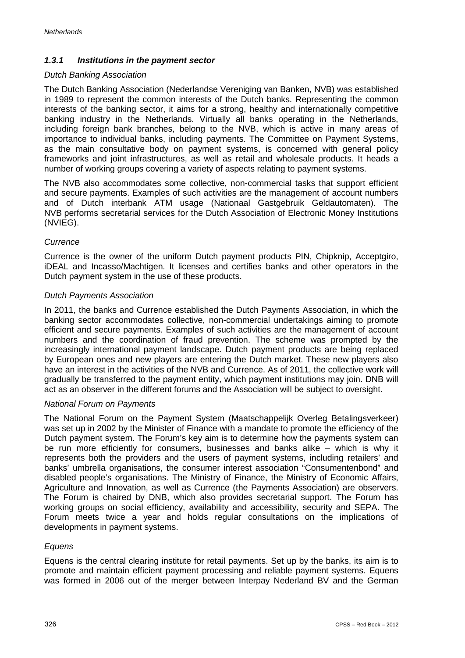# *1.3.1 Institutions in the payment sector*

## *Dutch Banking Association*

The Dutch Banking Association (Nederlandse Vereniging van Banken, NVB) was established in 1989 to represent the common interests of the Dutch banks. Representing the common interests of the banking sector, it aims for a strong, healthy and internationally competitive banking industry in the Netherlands. Virtually all banks operating in the Netherlands, including foreign bank branches, belong to the NVB, which is active in many areas of importance to individual banks, including payments. The Committee on Payment Systems, as the main consultative body on payment systems, is concerned with general policy frameworks and joint infrastructures, as well as retail and wholesale products. It heads a number of working groups covering a variety of aspects relating to payment systems.

The NVB also accommodates some collective, non-commercial tasks that support efficient and secure payments. Examples of such activities are the management of account numbers and of Dutch interbank ATM usage (Nationaal Gastgebruik Geldautomaten). The NVB performs secretarial services for the Dutch Association of Electronic Money Institutions (NVIEG).

# *Currence*

Currence is the owner of the uniform Dutch payment products PIN, Chipknip, Acceptgiro, iDEAL and Incasso/Machtigen. It licenses and certifies banks and other operators in the Dutch payment system in the use of these products.

# *Dutch Payments Association*

In 2011, the banks and Currence established the Dutch Payments Association, in which the banking sector accommodates collective, non-commercial undertakings aiming to promote efficient and secure payments. Examples of such activities are the management of account numbers and the coordination of fraud prevention. The scheme was prompted by the increasingly international payment landscape. Dutch payment products are being replaced by European ones and new players are entering the Dutch market. These new players also have an interest in the activities of the NVB and Currence. As of 2011, the collective work will gradually be transferred to the payment entity, which payment institutions may join. DNB will act as an observer in the different forums and the Association will be subject to oversight.

# *National Forum on Payments*

The National Forum on the Payment System (Maatschappelijk Overleg Betalingsverkeer) was set up in 2002 by the Minister of Finance with a mandate to promote the efficiency of the Dutch payment system. The Forum's key aim is to determine how the payments system can be run more efficiently for consumers, businesses and banks alike – which is why it represents both the providers and the users of payment systems, including retailers' and banks' umbrella organisations, the consumer interest association "Consumentenbond" and disabled people's organisations. The Ministry of Finance, the Ministry of Economic Affairs, Agriculture and Innovation, as well as Currence (the Payments Association) are observers. The Forum is chaired by DNB, which also provides secretarial support. The Forum has working groups on social efficiency, availability and accessibility, security and SEPA. The Forum meets twice a year and holds regular consultations on the implications of developments in payment systems.

# *Equens*

Equens is the central clearing institute for retail payments. Set up by the banks, its aim is to promote and maintain efficient payment processing and reliable payment systems. Equens was formed in 2006 out of the merger between Interpay Nederland BV and the German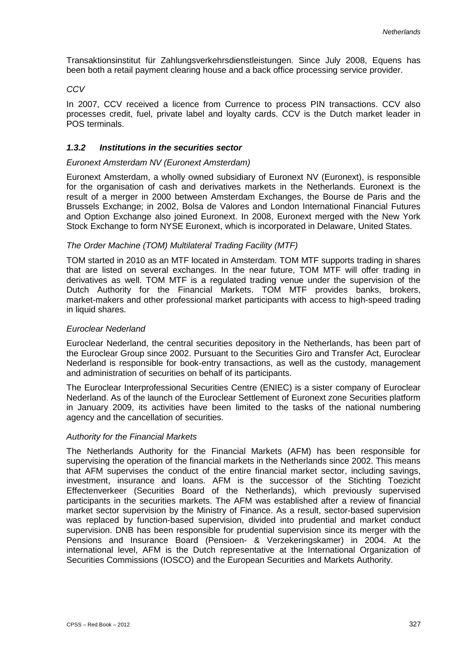Transaktionsinstitut für Zahlungsverkehrsdienstleistungen. Since July 2008, Equens has been both a retail payment clearing house and a back office processing service provider.

## *CCV*

In 2007, CCV received a licence from Currence to process PIN transactions. CCV also processes credit, fuel, private label and loyalty cards. CCV is the Dutch market leader in POS terminals.

# *1.3.2 Institutions in the securities sector*

## *Euronext Amsterdam NV (Euronext Amsterdam)*

Euronext Amsterdam, a wholly owned subsidiary of Euronext NV (Euronext), is responsible for the organisation of cash and derivatives markets in the Netherlands. Euronext is the result of a merger in 2000 between Amsterdam Exchanges, the Bourse de Paris and the Brussels Exchange; in 2002, Bolsa de Valores and London International Financial Futures and Option Exchange also joined Euronext. In 2008, Euronext merged with the New York Stock Exchange to form NYSE Euronext, which is incorporated in Delaware, United States.

## *The Order Machine (TOM) Multilateral Trading Facility (MTF)*

TOM started in 2010 as an MTF located in Amsterdam. TOM MTF supports trading in shares that are listed on several exchanges. In the near future, TOM MTF will offer trading in derivatives as well. TOM MTF is a regulated trading venue under the supervision of the Dutch Authority for the Financial Markets. TOM MTF provides banks, brokers, market-makers and other professional market participants with access to high-speed trading in liquid shares.

### *Euroclear Nederland*

Euroclear Nederland, the central securities depository in the Netherlands, has been part of the Euroclear Group since 2002. Pursuant to the Securities Giro and Transfer Act, Euroclear Nederland is responsible for book-entry transactions, as well as the custody, management and administration of securities on behalf of its participants.

The Euroclear Interprofessional Securities Centre (ENIEC) is a sister company of Euroclear Nederland. As of the launch of the Euroclear Settlement of Euronext zone Securities platform in January 2009, its activities have been limited to the tasks of the national numbering agency and the cancellation of securities.

### *Authority for the Financial Markets*

The Netherlands Authority for the Financial Markets (AFM) has been responsible for supervising the operation of the financial markets in the Netherlands since 2002. This means that AFM supervises the conduct of the entire financial market sector, including savings, investment, insurance and loans. AFM is the successor of the Stichting Toezicht Effectenverkeer (Securities Board of the Netherlands), which previously supervised participants in the securities markets. The AFM was established after a review of financial market sector supervision by the Ministry of Finance. As a result, sector-based supervision was replaced by function-based supervision, divided into prudential and market conduct supervision. DNB has been responsible for prudential supervision since its merger with the Pensions and Insurance Board (Pensioen- & Verzekeringskamer) in 2004. At the international level, AFM is the Dutch representative at the International Organization of Securities Commissions (IOSCO) and the European Securities and Markets Authority.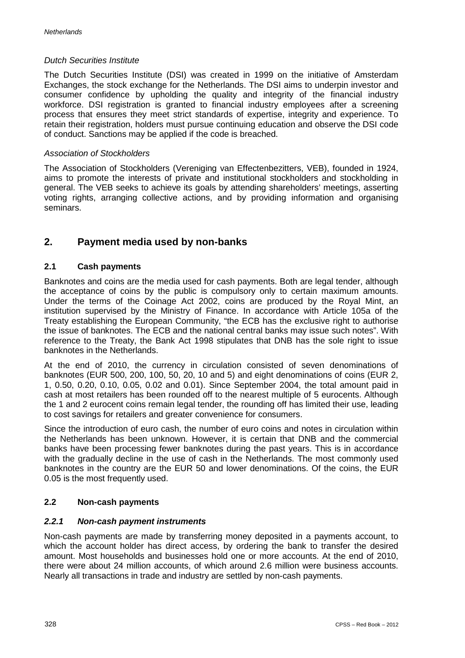## *Dutch Securities Institute*

The Dutch Securities Institute (DSI) was created in 1999 on the initiative of Amsterdam Exchanges, the stock exchange for the Netherlands. The DSI aims to underpin investor and consumer confidence by upholding the quality and integrity of the financial industry workforce. DSI registration is granted to financial industry employees after a screening process that ensures they meet strict standards of expertise, integrity and experience. To retain their registration, holders must pursue continuing education and observe the DSI code of conduct. Sanctions may be applied if the code is breached.

## *Association of Stockholders*

The Association of Stockholders (Vereniging van Effectenbezitters, VEB), founded in 1924, aims to promote the interests of private and institutional stockholders and stockholding in general. The VEB seeks to achieve its goals by attending shareholders' meetings, asserting voting rights, arranging collective actions, and by providing information and organising seminars.

# **2. Payment media used by non-banks**

# **2.1 Cash payments**

Banknotes and coins are the media used for cash payments. Both are legal tender, although the acceptance of coins by the public is compulsory only to certain maximum amounts. Under the terms of the Coinage Act 2002, coins are produced by the Royal Mint, an institution supervised by the Ministry of Finance. In accordance with Article 105a of the Treaty establishing the European Community, "the ECB has the exclusive right to authorise the issue of banknotes. The ECB and the national central banks may issue such notes". With reference to the Treaty, the Bank Act 1998 stipulates that DNB has the sole right to issue banknotes in the Netherlands.

At the end of 2010, the currency in circulation consisted of seven denominations of banknotes (EUR 500, 200, 100, 50, 20, 10 and 5) and eight denominations of coins (EUR 2, 1, 0.50, 0.20, 0.10, 0.05, 0.02 and 0.01). Since September 2004, the total amount paid in cash at most retailers has been rounded off to the nearest multiple of 5 eurocents. Although the 1 and 2 eurocent coins remain legal tender, the rounding off has limited their use, leading to cost savings for retailers and greater convenience for consumers.

Since the introduction of euro cash, the number of euro coins and notes in circulation within the Netherlands has been unknown. However, it is certain that DNB and the commercial banks have been processing fewer banknotes during the past years. This is in accordance with the gradually decline in the use of cash in the Netherlands. The most commonly used banknotes in the country are the EUR 50 and lower denominations. Of the coins, the EUR 0.05 is the most frequently used.

# **2.2 Non-cash payments**

# *2.2.1 Non-cash payment instruments*

Non-cash payments are made by transferring money deposited in a payments account, to which the account holder has direct access, by ordering the bank to transfer the desired amount. Most households and businesses hold one or more accounts. At the end of 2010, there were about 24 million accounts, of which around 2.6 million were business accounts. Nearly all transactions in trade and industry are settled by non-cash payments.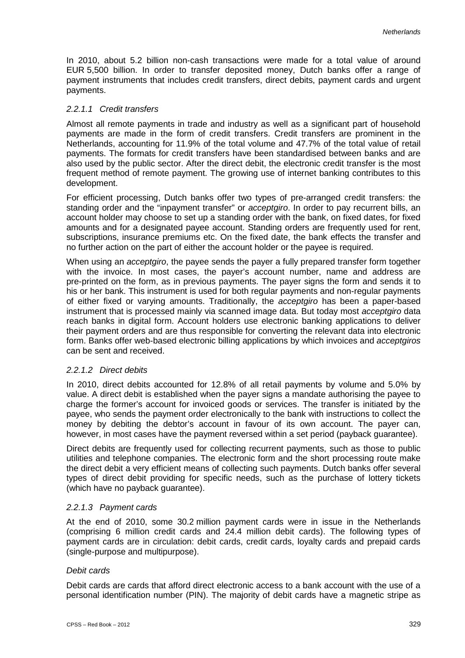In 2010, about 5.2 billion non-cash transactions were made for a total value of around EUR 5,500 billion. In order to transfer deposited money, Dutch banks offer a range of payment instruments that includes credit transfers, direct debits, payment cards and urgent payments.

## *2.2.1.1 Credit transfers*

Almost all remote payments in trade and industry as well as a significant part of household payments are made in the form of credit transfers. Credit transfers are prominent in the Netherlands, accounting for 11.9% of the total volume and 47.7% of the total value of retail payments. The formats for credit transfers have been standardised between banks and are also used by the public sector. After the direct debit, the electronic credit transfer is the most frequent method of remote payment. The growing use of internet banking contributes to this development.

For efficient processing, Dutch banks offer two types of pre-arranged credit transfers: the standing order and the "inpayment transfer" or *acceptgiro*. In order to pay recurrent bills, an account holder may choose to set up a standing order with the bank, on fixed dates, for fixed amounts and for a designated payee account. Standing orders are frequently used for rent, subscriptions, insurance premiums etc. On the fixed date, the bank effects the transfer and no further action on the part of either the account holder or the payee is required.

When using an *acceptgiro*, the payee sends the payer a fully prepared transfer form together with the invoice. In most cases, the payer's account number, name and address are pre-printed on the form, as in previous payments. The payer signs the form and sends it to his or her bank. This instrument is used for both regular payments and non-regular payments of either fixed or varying amounts. Traditionally, the *acceptgiro* has been a paper-based instrument that is processed mainly via scanned image data. But today most *acceptgiro* data reach banks in digital form. Account holders use electronic banking applications to deliver their payment orders and are thus responsible for converting the relevant data into electronic form. Banks offer web-based electronic billing applications by which invoices and *acceptgiros* can be sent and received.

### *2.2.1.2 Direct debits*

In 2010, direct debits accounted for 12.8% of all retail payments by volume and 5.0% by value. A direct debit is established when the payer signs a mandate authorising the payee to charge the former's account for invoiced goods or services. The transfer is initiated by the payee, who sends the payment order electronically to the bank with instructions to collect the money by debiting the debtor's account in favour of its own account. The payer can, however, in most cases have the payment reversed within a set period (payback guarantee).

Direct debits are frequently used for collecting recurrent payments, such as those to public utilities and telephone companies. The electronic form and the short processing route make the direct debit a very efficient means of collecting such payments. Dutch banks offer several types of direct debit providing for specific needs, such as the purchase of lottery tickets (which have no payback guarantee).

### *2.2.1.3 Payment cards*

At the end of 2010, some 30.2 million payment cards were in issue in the Netherlands (comprising 6 million credit cards and 24.4 million debit cards). The following types of payment cards are in circulation: debit cards, credit cards, loyalty cards and prepaid cards (single-purpose and multipurpose).

# *Debit cards*

Debit cards are cards that afford direct electronic access to a bank account with the use of a personal identification number (PIN). The majority of debit cards have a magnetic stripe as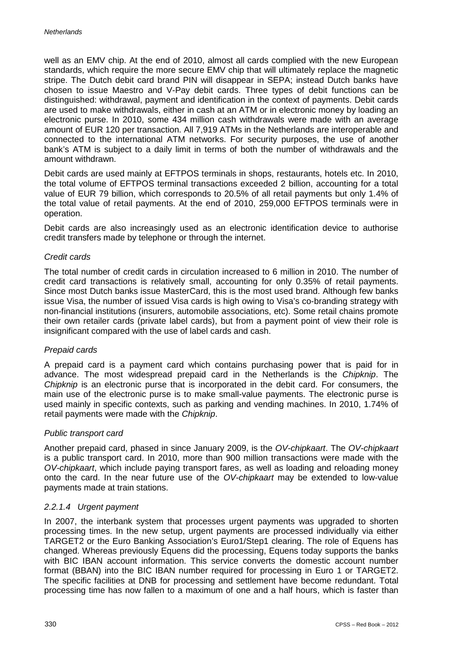well as an EMV chip. At the end of 2010, almost all cards complied with the new European standards, which require the more secure EMV chip that will ultimately replace the magnetic stripe. The Dutch debit card brand PIN will disappear in SEPA; instead Dutch banks have chosen to issue Maestro and V-Pay debit cards. Three types of debit functions can be distinguished: withdrawal, payment and identification in the context of payments. Debit cards are used to make withdrawals, either in cash at an ATM or in electronic money by loading an electronic purse. In 2010, some 434 million cash withdrawals were made with an average amount of EUR 120 per transaction. All 7,919 ATMs in the Netherlands are interoperable and connected to the international ATM networks. For security purposes, the use of another bank's ATM is subject to a daily limit in terms of both the number of withdrawals and the amount withdrawn.

Debit cards are used mainly at EFTPOS terminals in shops, restaurants, hotels etc. In 2010, the total volume of EFTPOS terminal transactions exceeded 2 billion, accounting for a total value of EUR 79 billion, which corresponds to 20.5% of all retail payments but only 1.4% of the total value of retail payments. At the end of 2010, 259,000 EFTPOS terminals were in operation.

Debit cards are also increasingly used as an electronic identification device to authorise credit transfers made by telephone or through the internet.

## *Credit cards*

The total number of credit cards in circulation increased to 6 million in 2010. The number of credit card transactions is relatively small, accounting for only 0.35% of retail payments. Since most Dutch banks issue MasterCard, this is the most used brand. Although few banks issue Visa, the number of issued Visa cards is high owing to Visa's co-branding strategy with non-financial institutions (insurers, automobile associations, etc). Some retail chains promote their own retailer cards (private label cards), but from a payment point of view their role is insignificant compared with the use of label cards and cash.

### *Prepaid cards*

A prepaid card is a payment card which contains purchasing power that is paid for in advance. The most widespread prepaid card in the Netherlands is the *Chipknip*. The *Chipknip* is an electronic purse that is incorporated in the debit card. For consumers, the main use of the electronic purse is to make small-value payments. The electronic purse is used mainly in specific contexts, such as parking and vending machines. In 2010, 1.74% of retail payments were made with the *Chipknip*.

# *Public transport card*

Another prepaid card, phased in since January 2009, is the *OV-chipkaart*. The *OV-chipkaart* is a public transport card. In 2010, more than 900 million transactions were made with the *OV-chipkaart*, which include paying transport fares, as well as loading and reloading money onto the card. In the near future use of the *OV-chipkaart* may be extended to low-value payments made at train stations.

### *2.2.1.4 Urgent payment*

In 2007, the interbank system that processes urgent payments was upgraded to shorten processing times. In the new setup, urgent payments are processed individually via either TARGET2 or the Euro Banking Association's Euro1/Step1 clearing. The role of Equens has changed. Whereas previously Equens did the processing, Equens today supports the banks with BIC IBAN account information. This service converts the domestic account number format (BBAN) into the BIC IBAN number required for processing in Euro 1 or TARGET2. The specific facilities at DNB for processing and settlement have become redundant. Total processing time has now fallen to a maximum of one and a half hours, which is faster than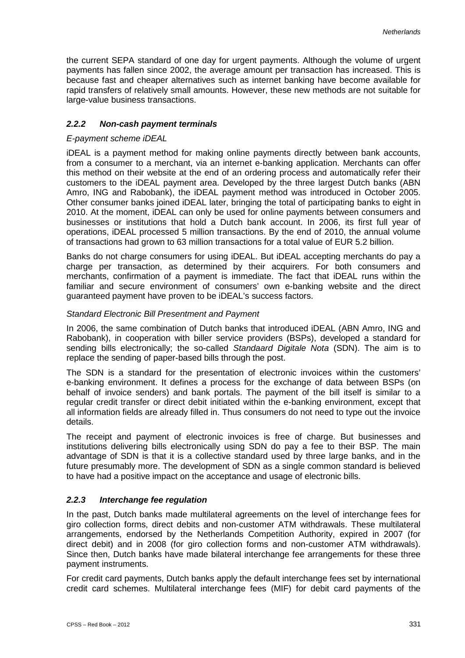the current SEPA standard of one day for urgent payments. Although the volume of urgent payments has fallen since 2002, the average amount per transaction has increased. This is because fast and cheaper alternatives such as internet banking have become available for rapid transfers of relatively small amounts. However, these new methods are not suitable for large-value business transactions.

# *2.2.2 Non-cash payment terminals*

## *E-payment scheme iDEAL*

iDEAL is a payment method for making online payments directly between bank accounts, from a consumer to a merchant, via an internet e-banking application. Merchants can offer this method on their website at the end of an ordering process and automatically refer their customers to the iDEAL payment area. Developed by the three largest Dutch banks (ABN Amro, ING and Rabobank), the iDEAL payment method was introduced in October 2005. Other consumer banks joined iDEAL later, bringing the total of participating banks to eight in 2010. At the moment, iDEAL can only be used for online payments between consumers and businesses or institutions that hold a Dutch bank account. In 2006, its first full year of operations, iDEAL processed 5 million transactions. By the end of 2010, the annual volume of transactions had grown to 63 million transactions for a total value of EUR 5.2 billion.

Banks do not charge consumers for using iDEAL. But iDEAL accepting merchants do pay a charge per transaction, as determined by their acquirers. For both consumers and merchants, confirmation of a payment is immediate. The fact that iDEAL runs within the familiar and secure environment of consumers' own e-banking website and the direct guaranteed payment have proven to be iDEAL's success factors.

## *Standard Electronic Bill Presentment and Payment*

In 2006, the same combination of Dutch banks that introduced iDEAL (ABN Amro, ING and Rabobank), in cooperation with biller service providers (BSPs), developed a standard for sending bills electronically; the so-called *Standaard Digitale Nota* (SDN). The aim is to replace the sending of paper-based bills through the post.

The SDN is a standard for the presentation of electronic invoices within the customers' e-banking environment. It defines a process for the exchange of data between BSPs (on behalf of invoice senders) and bank portals. The payment of the bill itself is similar to a regular credit transfer or direct debit initiated within the e-banking environment, except that all information fields are already filled in. Thus consumers do not need to type out the invoice details.

The receipt and payment of electronic invoices is free of charge. But businesses and institutions delivering bills electronically using SDN do pay a fee to their BSP. The main advantage of SDN is that it is a collective standard used by three large banks, and in the future presumably more. The development of SDN as a single common standard is believed to have had a positive impact on the acceptance and usage of electronic bills.

# *2.2.3 Interchange fee regulation*

In the past, Dutch banks made multilateral agreements on the level of interchange fees for giro collection forms, direct debits and non-customer ATM withdrawals. These multilateral arrangements, endorsed by the Netherlands Competition Authority, expired in 2007 (for direct debit) and in 2008 (for giro collection forms and non-customer ATM withdrawals). Since then, Dutch banks have made bilateral interchange fee arrangements for these three payment instruments.

For credit card payments, Dutch banks apply the default interchange fees set by international credit card schemes. Multilateral interchange fees (MIF) for debit card payments of the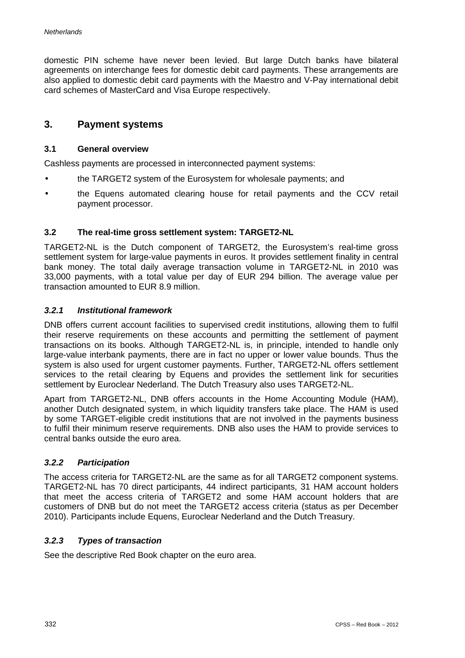domestic PIN scheme have never been levied. But large Dutch banks have bilateral agreements on interchange fees for domestic debit card payments. These arrangements are also applied to domestic debit card payments with the Maestro and V-Pay international debit card schemes of MasterCard and Visa Europe respectively.

# **3. Payment systems**

## **3.1 General overview**

Cashless payments are processed in interconnected payment systems:

- the TARGET2 system of the Eurosystem for wholesale payments; and
- the Equens automated clearing house for retail payments and the CCV retail payment processor.

## **3.2 The real-time gross settlement system: TARGET2-NL**

TARGET2-NL is the Dutch component of TARGET2, the Eurosystem's real-time gross settlement system for large-value payments in euros. It provides settlement finality in central bank money. The total daily average transaction volume in TARGET2-NL in 2010 was 33,000 payments, with a total value per day of EUR 294 billion. The average value per transaction amounted to EUR 8.9 million.

## *3.2.1 Institutional framework*

DNB offers current account facilities to supervised credit institutions, allowing them to fulfil their reserve requirements on these accounts and permitting the settlement of payment transactions on its books. Although TARGET2-NL is, in principle, intended to handle only large-value interbank payments, there are in fact no upper or lower value bounds. Thus the system is also used for urgent customer payments. Further, TARGET2-NL offers settlement services to the retail clearing by Equens and provides the settlement link for securities settlement by Euroclear Nederland. The Dutch Treasury also uses TARGET2-NL.

Apart from TARGET2-NL, DNB offers accounts in the Home Accounting Module (HAM), another Dutch designated system, in which liquidity transfers take place. The HAM is used by some TARGET-eligible credit institutions that are not involved in the payments business to fulfil their minimum reserve requirements. DNB also uses the HAM to provide services to central banks outside the euro area.

## *3.2.2 Participation*

The access criteria for TARGET2-NL are the same as for all TARGET2 component systems. TARGET2-NL has 70 direct participants, 44 indirect participants, 31 HAM account holders that meet the access criteria of TARGET2 and some HAM account holders that are customers of DNB but do not meet the TARGET2 access criteria (status as per December 2010). Participants include Equens, Euroclear Nederland and the Dutch Treasury.

# *3.2.3 Types of transaction*

See the descriptive Red Book chapter on the euro area.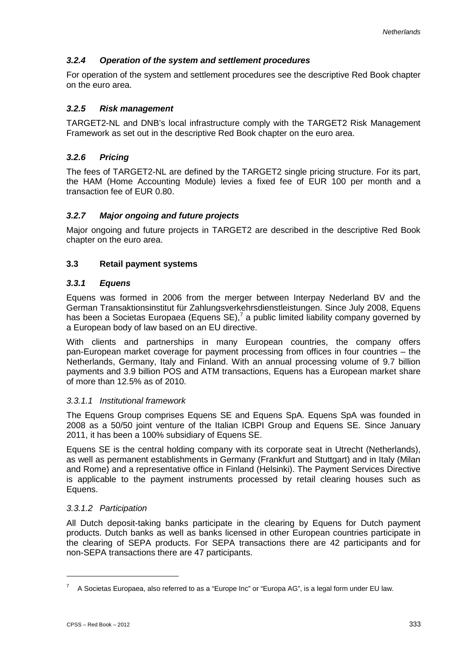# *3.2.4 Operation of the system and settlement procedures*

For operation of the system and settlement procedures see the descriptive Red Book chapter on the euro area.

# *3.2.5 Risk management*

TARGET2-NL and DNB's local infrastructure comply with the TARGET2 Risk Management Framework as set out in the descriptive Red Book chapter on the euro area.

# *3.2.6 Pricing*

The fees of TARGET2-NL are defined by the TARGET2 single pricing structure. For its part, the HAM (Home Accounting Module) levies a fixed fee of EUR 100 per month and a transaction fee of EUR 0.80.

# *3.2.7 Major ongoing and future projects*

Major ongoing and future projects in TARGET2 are described in the descriptive Red Book chapter on the euro area.

# **3.3 Retail payment systems**

# *3.3.1 Equens*

Equens was formed in 2006 from the merger between Interpay Nederland BV and the German Transaktionsinstitut für Zahlungsverkehrsdienstleistungen. Since July 2008, Equens has been a Societas Europaea (Equens  $SE$ ),<sup>7</sup> a public limited liability company governed by a European body of law based on an EU directive.

With clients and partnerships in many European countries, the company offers pan-European market coverage for payment processing from offices in four countries – the Netherlands, Germany, Italy and Finland. With an annual processing volume of 9.7 billion payments and 3.9 billion POS and ATM transactions, Equens has a European market share of more than 12.5% as of 2010.

# *3.3.1.1 Institutional framework*

The Equens Group comprises Equens SE and Equens SpA. Equens SpA was founded in 2008 as a 50/50 joint venture of the Italian ICBPI Group and Equens SE. Since January 2011, it has been a 100% subsidiary of Equens SE.

Equens SE is the central holding company with its corporate seat in Utrecht (Netherlands), as well as permanent establishments in Germany (Frankfurt and Stuttgart) and in Italy (Milan and Rome) and a representative office in Finland (Helsinki). The Payment Services Directive is applicable to the payment instruments processed by retail clearing houses such as Equens.

# *3.3.1.2 Participation*

All Dutch deposit-taking banks participate in the clearing by Equens for Dutch payment products. Dutch banks as well as banks licensed in other European countries participate in the clearing of SEPA products. For SEPA transactions there are 42 participants and for non-SEPA transactions there are 47 participants.

-

<sup>7</sup> A Societas Europaea, also referred to as a "Europe Inc" or "Europa AG", is a legal form under EU law.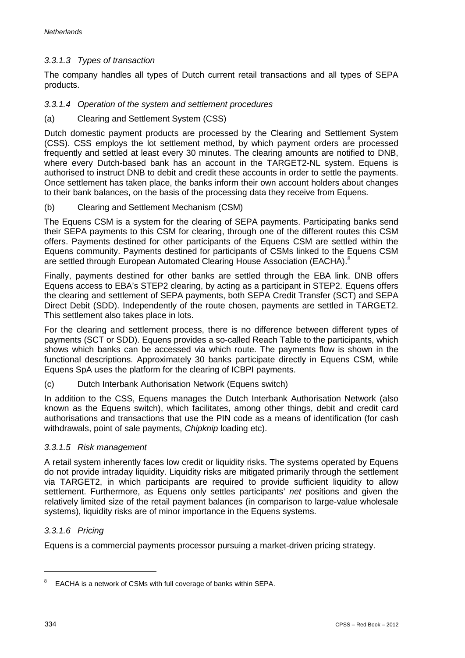# *3.3.1.3 Types of transaction*

The company handles all types of Dutch current retail transactions and all types of SEPA products.

# *3.3.1.4 Operation of the system and settlement procedures*

(a) Clearing and Settlement System (CSS)

Dutch domestic payment products are processed by the Clearing and Settlement System (CSS). CSS employs the lot settlement method, by which payment orders are processed frequently and settled at least every 30 minutes. The clearing amounts are notified to DNB, where every Dutch-based bank has an account in the TARGET2-NL system. Equens is authorised to instruct DNB to debit and credit these accounts in order to settle the payments. Once settlement has taken place, the banks inform their own account holders about changes to their bank balances, on the basis of the processing data they receive from Equens.

(b) Clearing and Settlement Mechanism (CSM)

The Equens CSM is a system for the clearing of SEPA payments. Participating banks send their SEPA payments to this CSM for clearing, through one of the different routes this CSM offers. Payments destined for other participants of the Equens CSM are settled within the Equens community. Payments destined for participants of CSMs linked to the Equens CSM are settled through European Automated Clearing House Association (EACHA).<sup>8</sup>

Finally, payments destined for other banks are settled through the EBA link. DNB offers Equens access to EBA's STEP2 clearing, by acting as a participant in STEP2. Equens offers the clearing and settlement of SEPA payments, both SEPA Credit Transfer (SCT) and SEPA Direct Debit (SDD). Independently of the route chosen, payments are settled in TARGET2. This settlement also takes place in lots.

For the clearing and settlement process, there is no difference between different types of payments (SCT or SDD). Equens provides a so-called Reach Table to the participants, which shows which banks can be accessed via which route. The payments flow is shown in the functional descriptions. Approximately 30 banks participate directly in Equens CSM, while Equens SpA uses the platform for the clearing of ICBPI payments.

(c) Dutch Interbank Authorisation Network (Equens switch)

In addition to the CSS, Equens manages the Dutch Interbank Authorisation Network (also known as the Equens switch), which facilitates, among other things, debit and credit card authorisations and transactions that use the PIN code as a means of identification (for cash withdrawals, point of sale payments, *Chipknip* loading etc).

# *3.3.1.5 Risk management*

A retail system inherently faces low credit or liquidity risks. The systems operated by Equens do not provide intraday liquidity. Liquidity risks are mitigated primarily through the settlement via TARGET2, in which participants are required to provide sufficient liquidity to allow settlement. Furthermore, as Equens only settles participants' *net* positions and given the relatively limited size of the retail payment balances (in comparison to large-value wholesale systems), liquidity risks are of minor importance in the Equens systems.

# *3.3.1.6 Pricing*

Equens is a commercial payments processor pursuing a market-driven pricing strategy.

-

<sup>8</sup> EACHA is a network of CSMs with full coverage of banks within SEPA.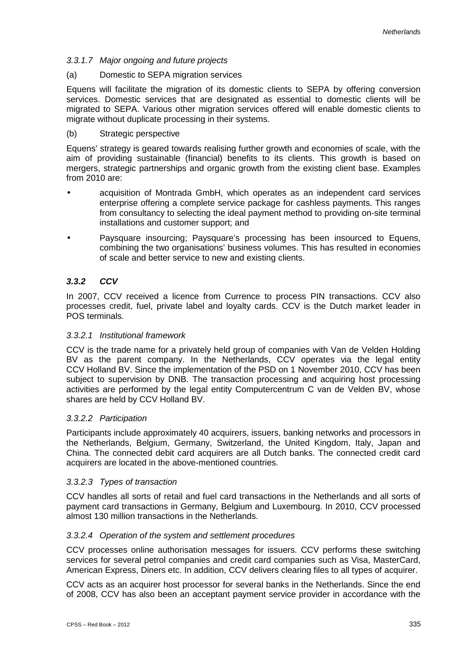# *3.3.1.7 Major ongoing and future projects*

## (a) Domestic to SEPA migration services

Equens will facilitate the migration of its domestic clients to SEPA by offering conversion services. Domestic services that are designated as essential to domestic clients will be migrated to SEPA. Various other migration services offered will enable domestic clients to migrate without duplicate processing in their systems.

## (b) Strategic perspective

Equens' strategy is geared towards realising further growth and economies of scale, with the aim of providing sustainable (financial) benefits to its clients. This growth is based on mergers, strategic partnerships and organic growth from the existing client base. Examples from 2010 are:

- acquisition of Montrada GmbH, which operates as an independent card services enterprise offering a complete service package for cashless payments. This ranges from consultancy to selecting the ideal payment method to providing on-site terminal installations and customer support; and
- Paysquare insourcing; Paysquare's processing has been insourced to Equens, combining the two organisations' business volumes. This has resulted in economies of scale and better service to new and existing clients.

# *3.3.2 CCV*

In 2007, CCV received a licence from Currence to process PIN transactions. CCV also processes credit, fuel, private label and loyalty cards. CCV is the Dutch market leader in POS terminals.

# *3.3.2.1 Institutional framework*

CCV is the trade name for a privately held group of companies with Van de Velden Holding BV as the parent company. In the Netherlands, CCV operates via the legal entity CCV Holland BV. Since the implementation of the PSD on 1 November 2010, CCV has been subject to supervision by DNB. The transaction processing and acquiring host processing activities are performed by the legal entity Computercentrum C van de Velden BV, whose shares are held by CCV Holland BV.

# *3.3.2.2 Participation*

Participants include approximately 40 acquirers, issuers, banking networks and processors in the Netherlands, Belgium, Germany, Switzerland, the United Kingdom, Italy, Japan and China. The connected debit card acquirers are all Dutch banks. The connected credit card acquirers are located in the above-mentioned countries.

# *3.3.2.3 Types of transaction*

CCV handles all sorts of retail and fuel card transactions in the Netherlands and all sorts of payment card transactions in Germany, Belgium and Luxembourg. In 2010, CCV processed almost 130 million transactions in the Netherlands.

# *3.3.2.4 Operation of the system and settlement procedures*

CCV processes online authorisation messages for issuers. CCV performs these switching services for several petrol companies and credit card companies such as Visa, MasterCard, American Express, Diners etc. In addition, CCV delivers clearing files to all types of acquirer.

CCV acts as an acquirer host processor for several banks in the Netherlands. Since the end of 2008, CCV has also been an acceptant payment service provider in accordance with the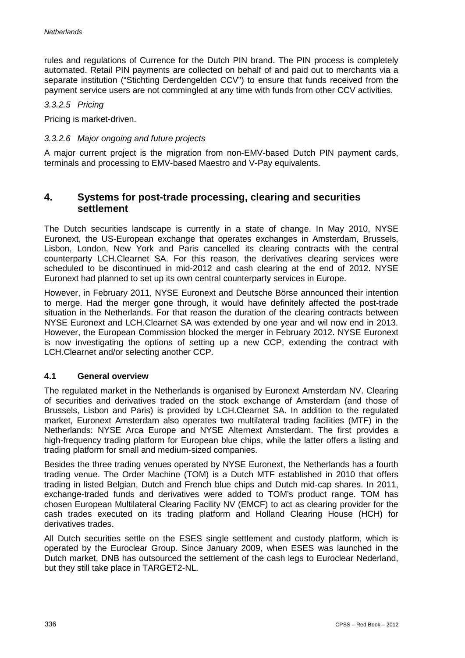rules and regulations of Currence for the Dutch PIN brand. The PIN process is completely automated. Retail PIN payments are collected on behalf of and paid out to merchants via a separate institution ("Stichting Derdengelden CCV") to ensure that funds received from the payment service users are not commingled at any time with funds from other CCV activities.

## *3.3.2.5 Pricing*

Pricing is market-driven.

## *3.3.2.6 Major ongoing and future projects*

A major current project is the migration from non-EMV-based Dutch PIN payment cards, terminals and processing to EMV-based Maestro and V-Pay equivalents.

# **4. Systems for post-trade processing, clearing and securities settlement**

The Dutch securities landscape is currently in a state of change. In May 2010, NYSE Euronext, the US-European exchange that operates exchanges in Amsterdam, Brussels, Lisbon, London, New York and Paris cancelled its clearing contracts with the central counterparty LCH.Clearnet SA. For this reason, the derivatives clearing services were scheduled to be discontinued in mid-2012 and cash clearing at the end of 2012. NYSE Euronext had planned to set up its own central counterparty services in Europe.

However, in February 2011, NYSE Euronext and Deutsche Börse announced their intention to merge. Had the merger gone through, it would have definitely affected the post-trade situation in the Netherlands. For that reason the duration of the clearing contracts between NYSE Euronext and LCH.Clearnet SA was extended by one year and wil now end in 2013. However, the European Commission blocked the merger in February 2012. NYSE Euronext is now investigating the options of setting up a new CCP, extending the contract with LCH.Clearnet and/or selecting another CCP.

# **4.1 General overview**

The regulated market in the Netherlands is organised by Euronext Amsterdam NV. Clearing of securities and derivatives traded on the stock exchange of Amsterdam (and those of Brussels, Lisbon and Paris) is provided by LCH.Clearnet SA. In addition to the regulated market, Euronext Amsterdam also operates two multilateral trading facilities (MTF) in the Netherlands: NYSE Arca Europe and NYSE Alternext Amsterdam. The first provides a high-frequency trading platform for European blue chips, while the latter offers a listing and trading platform for small and medium-sized companies.

Besides the three trading venues operated by NYSE Euronext, the Netherlands has a fourth trading venue. The Order Machine (TOM) is a Dutch MTF established in 2010 that offers trading in listed Belgian, Dutch and French blue chips and Dutch mid-cap shares. In 2011, exchange-traded funds and derivatives were added to TOM's product range. TOM has chosen European Multilateral Clearing Facility NV (EMCF) to act as clearing provider for the cash trades executed on its trading platform and Holland Clearing House (HCH) for derivatives trades.

All Dutch securities settle on the ESES single settlement and custody platform, which is operated by the Euroclear Group. Since January 2009, when ESES was launched in the Dutch market, DNB has outsourced the settlement of the cash legs to Euroclear Nederland, but they still take place in TARGET2-NL.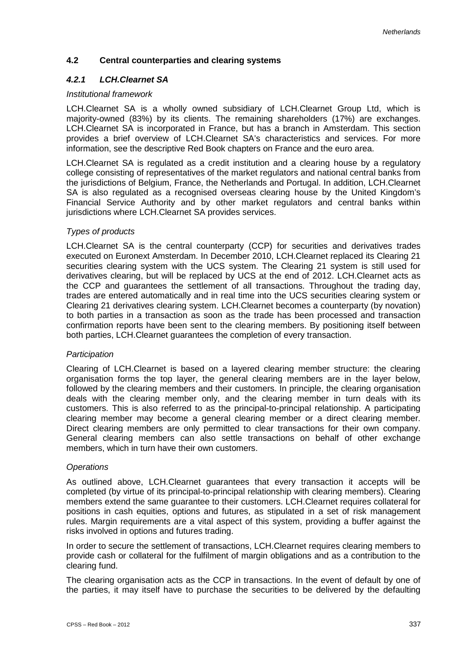# **4.2 Central counterparties and clearing systems**

# *4.2.1 LCH.Clearnet SA*

## *Institutional framework*

LCH.Clearnet SA is a wholly owned subsidiary of LCH.Clearnet Group Ltd, which is majority-owned (83%) by its clients. The remaining shareholders (17%) are exchanges. LCH.Clearnet SA is incorporated in France, but has a branch in Amsterdam. This section provides a brief overview of LCH.Clearnet SA's characteristics and services. For more information, see the descriptive Red Book chapters on France and the euro area.

LCH.Clearnet SA is regulated as a credit institution and a clearing house by a regulatory college consisting of representatives of the market regulators and national central banks from the jurisdictions of Belgium, France, the Netherlands and Portugal. In addition, LCH.Clearnet SA is also regulated as a recognised overseas clearing house by the United Kingdom's Financial Service Authority and by other market regulators and central banks within jurisdictions where LCH.Clearnet SA provides services.

# *Types of products*

LCH.Clearnet SA is the central counterparty (CCP) for securities and derivatives trades executed on Euronext Amsterdam. In December 2010, LCH.Clearnet replaced its Clearing 21 securities clearing system with the UCS system. The Clearing 21 system is still used for derivatives clearing, but will be replaced by UCS at the end of 2012. LCH.Clearnet acts as the CCP and guarantees the settlement of all transactions. Throughout the trading day, trades are entered automatically and in real time into the UCS securities clearing system or Clearing 21 derivatives clearing system. LCH.Clearnet becomes a counterparty (by novation) to both parties in a transaction as soon as the trade has been processed and transaction confirmation reports have been sent to the clearing members. By positioning itself between both parties, LCH.Clearnet guarantees the completion of every transaction.

### *Participation*

Clearing of LCH.Clearnet is based on a layered clearing member structure: the clearing organisation forms the top layer, the general clearing members are in the layer below, followed by the clearing members and their customers. In principle, the clearing organisation deals with the clearing member only, and the clearing member in turn deals with its customers. This is also referred to as the principal-to-principal relationship. A participating clearing member may become a general clearing member or a direct clearing member. Direct clearing members are only permitted to clear transactions for their own company. General clearing members can also settle transactions on behalf of other exchange members, which in turn have their own customers.

### *Operations*

As outlined above, LCH.Clearnet guarantees that every transaction it accepts will be completed (by virtue of its principal-to-principal relationship with clearing members). Clearing members extend the same guarantee to their customers. LCH.Clearnet requires collateral for positions in cash equities, options and futures, as stipulated in a set of risk management rules. Margin requirements are a vital aspect of this system, providing a buffer against the risks involved in options and futures trading.

In order to secure the settlement of transactions, LCH.Clearnet requires clearing members to provide cash or collateral for the fulfilment of margin obligations and as a contribution to the clearing fund.

The clearing organisation acts as the CCP in transactions. In the event of default by one of the parties, it may itself have to purchase the securities to be delivered by the defaulting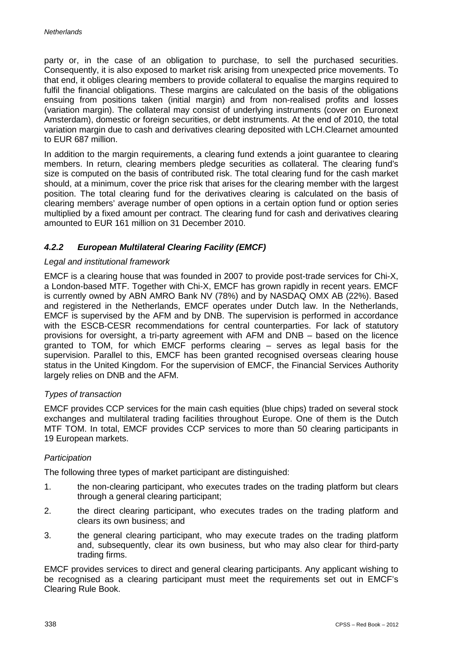party or, in the case of an obligation to purchase, to sell the purchased securities. Consequently, it is also exposed to market risk arising from unexpected price movements. To that end, it obliges clearing members to provide collateral to equalise the margins required to fulfil the financial obligations. These margins are calculated on the basis of the obligations ensuing from positions taken (initial margin) and from non-realised profits and losses (variation margin). The collateral may consist of underlying instruments (cover on Euronext Amsterdam), domestic or foreign securities, or debt instruments. At the end of 2010, the total variation margin due to cash and derivatives clearing deposited with LCH.Clearnet amounted to EUR 687 million.

In addition to the margin requirements, a clearing fund extends a joint guarantee to clearing members. In return, clearing members pledge securities as collateral. The clearing fund's size is computed on the basis of contributed risk. The total clearing fund for the cash market should, at a minimum, cover the price risk that arises for the clearing member with the largest position. The total clearing fund for the derivatives clearing is calculated on the basis of clearing members' average number of open options in a certain option fund or option series multiplied by a fixed amount per contract. The clearing fund for cash and derivatives clearing amounted to EUR 161 million on 31 December 2010.

# *4.2.2 European Multilateral Clearing Facility (EMCF)*

### *Legal and institutional framework*

EMCF is a clearing house that was founded in 2007 to provide post-trade services for Chi-X, a London-based MTF. Together with Chi-X, EMCF has grown rapidly in recent years. EMCF is currently owned by ABN AMRO Bank NV (78%) and by NASDAQ OMX AB (22%). Based and registered in the Netherlands, EMCF operates under Dutch law. In the Netherlands, EMCF is supervised by the AFM and by DNB. The supervision is performed in accordance with the ESCB-CESR recommendations for central counterparties. For lack of statutory provisions for oversight, a tri-party agreement with AFM and DNB – based on the licence granted to TOM, for which EMCF performs clearing – serves as legal basis for the supervision. Parallel to this, EMCF has been granted recognised overseas clearing house status in the United Kingdom. For the supervision of EMCF, the Financial Services Authority largely relies on DNB and the AFM.

### *Types of transaction*

EMCF provides CCP services for the main cash equities (blue chips) traded on several stock exchanges and multilateral trading facilities throughout Europe. One of them is the Dutch MTF TOM. In total, EMCF provides CCP services to more than 50 clearing participants in 19 European markets.

### *Participation*

The following three types of market participant are distinguished:

- 1. the non-clearing participant, who executes trades on the trading platform but clears through a general clearing participant;
- 2. the direct clearing participant, who executes trades on the trading platform and clears its own business; and
- 3. the general clearing participant, who may execute trades on the trading platform and, subsequently, clear its own business, but who may also clear for third-party trading firms.

EMCF provides services to direct and general clearing participants. Any applicant wishing to be recognised as a clearing participant must meet the requirements set out in EMCF's Clearing Rule Book.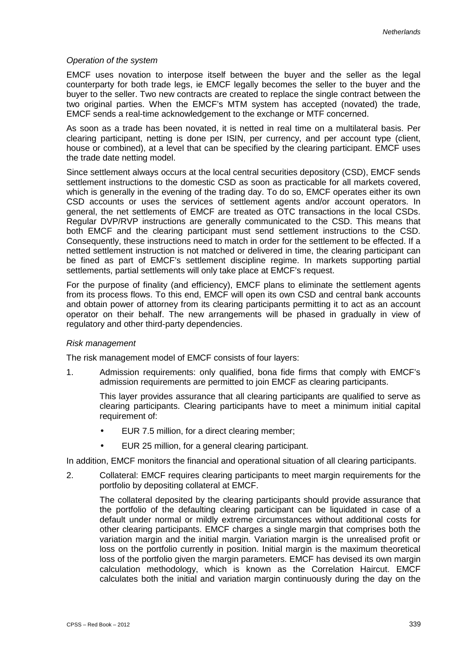## *Operation of the system*

EMCF uses novation to interpose itself between the buyer and the seller as the legal counterparty for both trade legs, ie EMCF legally becomes the seller to the buyer and the buyer to the seller. Two new contracts are created to replace the single contract between the two original parties. When the EMCF's MTM system has accepted (novated) the trade, EMCF sends a real-time acknowledgement to the exchange or MTF concerned.

As soon as a trade has been novated, it is netted in real time on a multilateral basis. Per clearing participant, netting is done per ISIN, per currency, and per account type (client, house or combined), at a level that can be specified by the clearing participant. EMCF uses the trade date netting model.

Since settlement always occurs at the local central securities depository (CSD), EMCF sends settlement instructions to the domestic CSD as soon as practicable for all markets covered, which is generally in the evening of the trading day. To do so, EMCF operates either its own CSD accounts or uses the services of settlement agents and/or account operators. In general, the net settlements of EMCF are treated as OTC transactions in the local CSDs. Regular DVP/RVP instructions are generally communicated to the CSD. This means that both EMCF and the clearing participant must send settlement instructions to the CSD. Consequently, these instructions need to match in order for the settlement to be effected. If a netted settlement instruction is not matched or delivered in time, the clearing participant can be fined as part of EMCF's settlement discipline regime. In markets supporting partial settlements, partial settlements will only take place at EMCF's request.

For the purpose of finality (and efficiency), EMCF plans to eliminate the settlement agents from its process flows. To this end, EMCF will open its own CSD and central bank accounts and obtain power of attorney from its clearing participants permitting it to act as an account operator on their behalf. The new arrangements will be phased in gradually in view of regulatory and other third-party dependencies.

### *Risk management*

The risk management model of EMCF consists of four layers:

1. Admission requirements: only qualified, bona fide firms that comply with EMCF's admission requirements are permitted to join EMCF as clearing participants.

This layer provides assurance that all clearing participants are qualified to serve as clearing participants. Clearing participants have to meet a minimum initial capital requirement of:

- EUR 7.5 million, for a direct clearing member;  $\mathbf{r}$
- EUR 25 million, for a general clearing participant.

In addition, EMCF monitors the financial and operational situation of all clearing participants.

2. Collateral: EMCF requires clearing participants to meet margin requirements for the portfolio by depositing collateral at EMCF.

The collateral deposited by the clearing participants should provide assurance that the portfolio of the defaulting clearing participant can be liquidated in case of a default under normal or mildly extreme circumstances without additional costs for other clearing participants. EMCF charges a single margin that comprises both the variation margin and the initial margin. Variation margin is the unrealised profit or loss on the portfolio currently in position. Initial margin is the maximum theoretical loss of the portfolio given the margin parameters. EMCF has devised its own margin calculation methodology, which is known as the Correlation Haircut. EMCF calculates both the initial and variation margin continuously during the day on the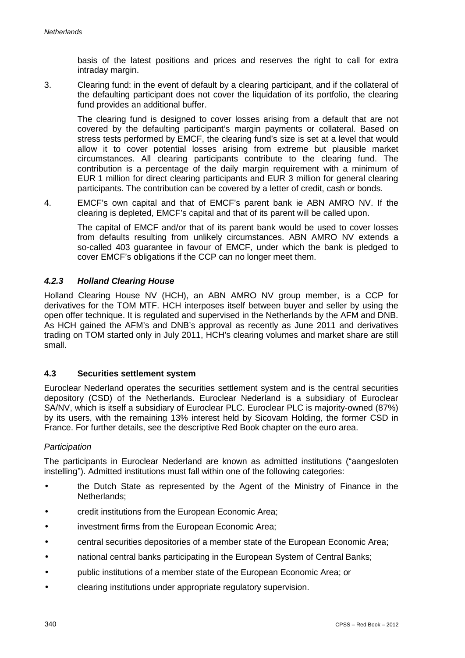basis of the latest positions and prices and reserves the right to call for extra intraday margin.

3. Clearing fund: in the event of default by a clearing participant, and if the collateral of the defaulting participant does not cover the liquidation of its portfolio, the clearing fund provides an additional buffer.

The clearing fund is designed to cover losses arising from a default that are not covered by the defaulting participant's margin payments or collateral. Based on stress tests performed by EMCF, the clearing fund's size is set at a level that would allow it to cover potential losses arising from extreme but plausible market circumstances. All clearing participants contribute to the clearing fund. The contribution is a percentage of the daily margin requirement with a minimum of EUR 1 million for direct clearing participants and EUR 3 million for general clearing participants. The contribution can be covered by a letter of credit, cash or bonds.

4. EMCF's own capital and that of EMCF's parent bank ie ABN AMRO NV. If the clearing is depleted, EMCF's capital and that of its parent will be called upon.

The capital of EMCF and/or that of its parent bank would be used to cover losses from defaults resulting from unlikely circumstances. ABN AMRO NV extends a so-called 403 guarantee in favour of EMCF, under which the bank is pledged to cover EMCF's obligations if the CCP can no longer meet them.

# *4.2.3 Holland Clearing House*

Holland Clearing House NV (HCH), an ABN AMRO NV group member, is a CCP for derivatives for the TOM MTF. HCH interposes itself between buyer and seller by using the open offer technique. It is regulated and supervised in the Netherlands by the AFM and DNB. As HCH gained the AFM's and DNB's approval as recently as June 2011 and derivatives trading on TOM started only in July 2011, HCH's clearing volumes and market share are still small.

# **4.3 Securities settlement system**

Euroclear Nederland operates the securities settlement system and is the central securities depository (CSD) of the Netherlands. Euroclear Nederland is a subsidiary of Euroclear SA/NV, which is itself a subsidiary of Euroclear PLC. Euroclear PLC is majority-owned (87%) by its users, with the remaining 13% interest held by Sicovam Holding, the former CSD in France. For further details, see the descriptive Red Book chapter on the euro area.

### *Participation*

The participants in Euroclear Nederland are known as admitted institutions ("aangesloten instelling"). Admitted institutions must fall within one of the following categories:

- the Dutch State as represented by the Agent of the Ministry of Finance in the Netherlands;
- credit institutions from the European Economic Area;
- investment firms from the European Economic Area;
- central securities depositories of a member state of the European Economic Area;
- national central banks participating in the European System of Central Banks;
- public institutions of a member state of the European Economic Area; or
- clearing institutions under appropriate regulatory supervision.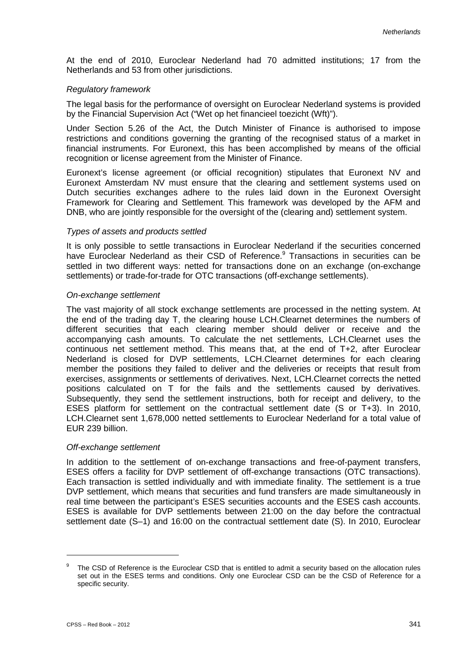At the end of 2010, Euroclear Nederland had 70 admitted institutions; 17 from the Netherlands and 53 from other jurisdictions.

## *Regulatory framework*

The legal basis for the performance of oversight on Euroclear Nederland systems is provided by the Financial Supervision Act ("Wet op het financieel toezicht (Wft)").

Under Section 5.26 of the Act, the Dutch Minister of Finance is authorised to impose restrictions and conditions governing the granting of the recognised status of a market in financial instruments. For Euronext, this has been accomplished by means of the official recognition or license agreement from the Minister of Finance.

Euronext's license agreement (or official recognition) stipulates that Euronext NV and Euronext Amsterdam NV must ensure that the clearing and settlement systems used on Dutch securities exchanges adhere to the rules laid down in the Euronext Oversight Framework for Clearing and Settlement. This framework was developed by the AFM and DNB, who are jointly responsible for the oversight of the (clearing and) settlement system.

### *Types of assets and products settled*

It is only possible to settle transactions in Euroclear Nederland if the securities concerned have Euroclear Nederland as their CSD of Reference. <sup>9</sup> Transactions in securities can be settled in two different ways: netted for transactions done on an exchange (on-exchange settlements) or trade-for-trade for OTC transactions (off-exchange settlements).

## *On-exchange settlement*

The vast majority of all stock exchange settlements are processed in the netting system. At the end of the trading day T, the clearing house LCH.Clearnet determines the numbers of different securities that each clearing member should deliver or receive and the accompanying cash amounts. To calculate the net settlements, LCH.Clearnet uses the continuous net settlement method. This means that, at the end of T+2, after Euroclear Nederland is closed for DVP settlements, LCH.Clearnet determines for each clearing member the positions they failed to deliver and the deliveries or receipts that result from exercises, assignments or settlements of derivatives. Next, LCH.Clearnet corrects the netted positions calculated on T for the fails and the settlements caused by derivatives. Subsequently, they send the settlement instructions, both for receipt and delivery, to the ESES platform for settlement on the contractual settlement date (S or T+3). In 2010, LCH.Clearnet sent 1,678,000 netted settlements to Euroclear Nederland for a total value of EUR 239 billion.

### *Off-exchange settlement*

In addition to the settlement of on-exchange transactions and free-of-payment transfers, ESES offers a facility for DVP settlement of off-exchange transactions (OTC transactions). Each transaction is settled individually and with immediate finality. The settlement is a true DVP settlement, which means that securities and fund transfers are made simultaneously in real time between the participant's ESES securities accounts and the ESES cash accounts. ESES is available for DVP settlements between 21:00 on the day before the contractual settlement date (S–1) and 16:00 on the contractual settlement date (S). In 2010, Euroclear

-

<sup>&</sup>lt;sup>9</sup> The CSD of Reference is the Euroclear CSD that is entitled to admit a security based on the allocation rules set out in the ESES terms and conditions. Only one Euroclear CSD can be the CSD of Reference for a specific security.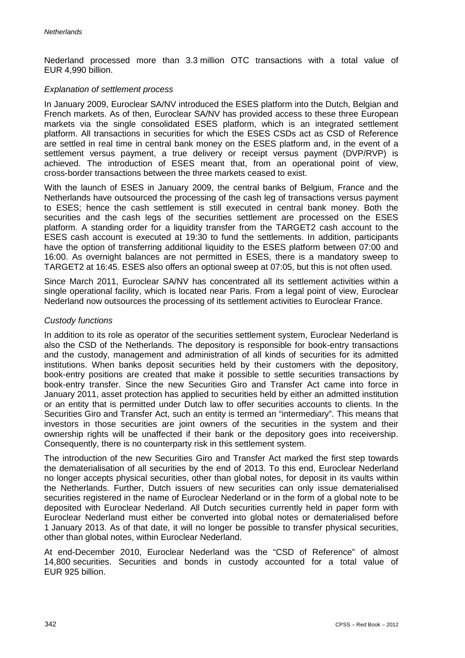Nederland processed more than 3.3 million OTC transactions with a total value of EUR 4,990 billion.

## *Explanation of settlement process*

In January 2009, Euroclear SA/NV introduced the ESES platform into the Dutch, Belgian and French markets. As of then, Euroclear SA/NV has provided access to these three European markets via the single consolidated ESES platform, which is an integrated settlement platform. All transactions in securities for which the ESES CSDs act as CSD of Reference are settled in real time in central bank money on the ESES platform and, in the event of a settlement versus payment, a true delivery or receipt versus payment (DVP/RVP) is achieved. The introduction of ESES meant that, from an operational point of view, cross-border transactions between the three markets ceased to exist.

With the launch of ESES in January 2009, the central banks of Belgium, France and the Netherlands have outsourced the processing of the cash leg of transactions versus payment to ESES; hence the cash settlement is still executed in central bank money. Both the securities and the cash legs of the securities settlement are processed on the ESES platform. A standing order for a liquidity transfer from the TARGET2 cash account to the ESES cash account is executed at 19:30 to fund the settlements. In addition, participants have the option of transferring additional liquidity to the ESES platform between 07:00 and 16:00. As overnight balances are not permitted in ESES, there is a mandatory sweep to TARGET2 at 16:45. ESES also offers an optional sweep at 07:05, but this is not often used.

Since March 2011, Euroclear SA/NV has concentrated all its settlement activities within a single operational facility, which is located near Paris. From a legal point of view, Euroclear Nederland now outsources the processing of its settlement activities to Euroclear France.

## *Custody functions*

In addition to its role as operator of the securities settlement system, Euroclear Nederland is also the CSD of the Netherlands. The depository is responsible for book-entry transactions and the custody, management and administration of all kinds of securities for its admitted institutions. When banks deposit securities held by their customers with the depository, book-entry positions are created that make it possible to settle securities transactions by book-entry transfer. Since the new Securities Giro and Transfer Act came into force in January 2011, asset protection has applied to securities held by either an admitted institution or an entity that is permitted under Dutch law to offer securities accounts to clients. In the Securities Giro and Transfer Act, such an entity is termed an "intermediary". This means that investors in those securities are joint owners of the securities in the system and their ownership rights will be unaffected if their bank or the depository goes into receivership. Consequently, there is no counterparty risk in this settlement system.

The introduction of the new Securities Giro and Transfer Act marked the first step towards the dematerialisation of all securities by the end of 2013. To this end, Euroclear Nederland no longer accepts physical securities, other than global notes, for deposit in its vaults within the Netherlands. Further, Dutch issuers of new securities can only issue dematerialised securities registered in the name of Euroclear Nederland or in the form of a global note to be deposited with Euroclear Nederland. All Dutch securities currently held in paper form with Euroclear Nederland must either be converted into global notes or dematerialised before 1 January 2013. As of that date, it will no longer be possible to transfer physical securities, other than global notes, within Euroclear Nederland.

At end-December 2010, Euroclear Nederland was the "CSD of Reference" of almost 14,800 securities. Securities and bonds in custody accounted for a total value of EUR 925 billion.